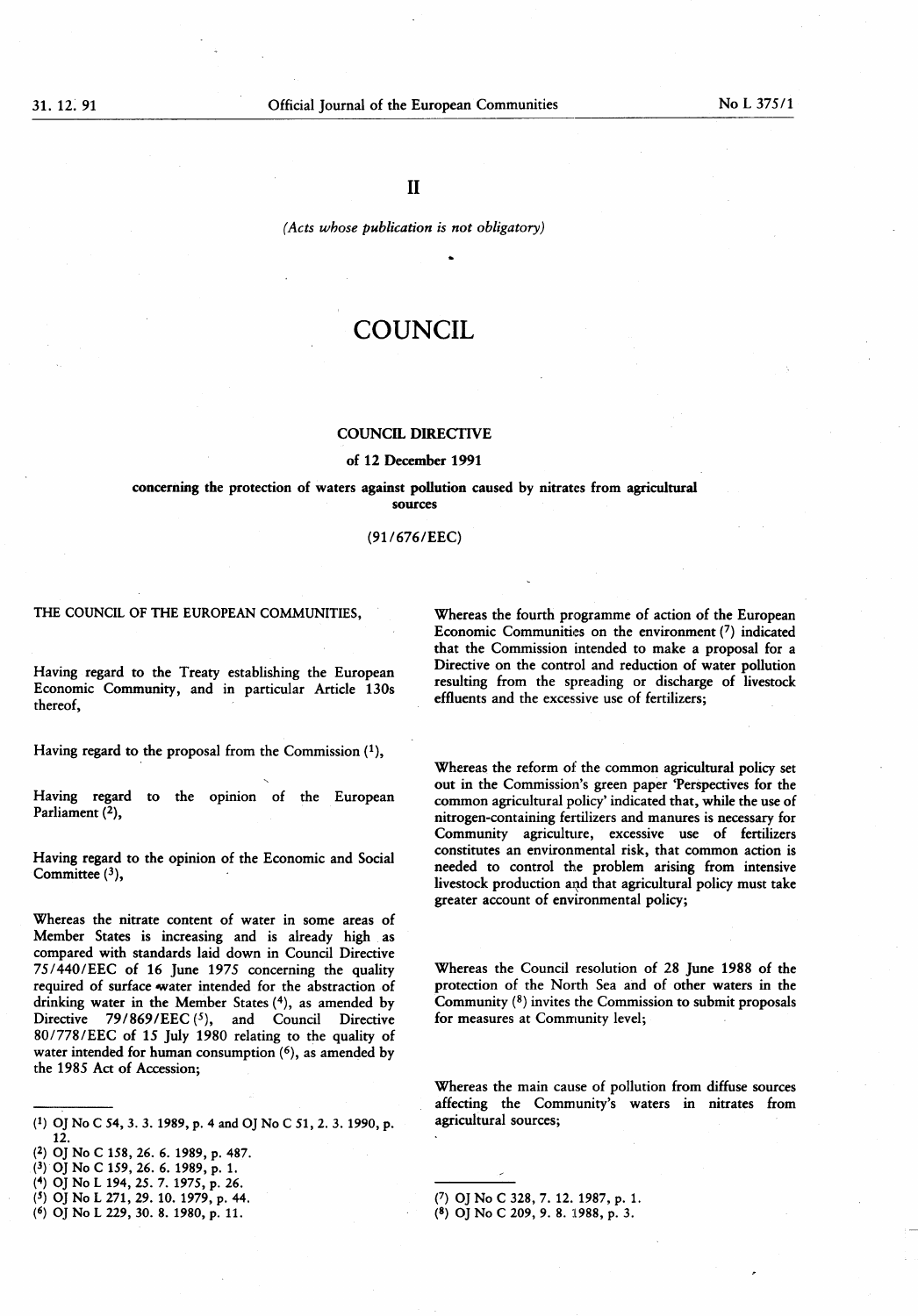(Acts whose publication is not obligatory)

 $\bullet$ 

# COUNCIL

### COUNCIL DIRECTIVE

#### of 12 December 1991

# concerning the protection of waters against pollution caused by nitrates from agricultural

sources

# (91 / 676 /EEC)

Having regard to the Treaty establishing the European Economic Community, and in particular Article 130s thereof,

Having regard to the proposal from the Commission  $(1)$ ,

Having regard to the opinion of the European Parliament (2),

Having regard to the opinion of the Economic and Social Committee  $(3)$ ,

Whereas the nitrate content of water in some areas of Member States is increasing and is already high as compared with standards laid down in Council Directive 75 /440/EEC of 16 June 1975 concerning the quality required of surface water intended for the abstraction of drinking water in the Member States (4), as amended by Directive  $79/869/EEC({}^{5})$ , and Council Directive 80 /778 /EEC of 15 July 1980 relating to the quality of water intended for human consumption  $(6)$ , as amended by the 1985 Act of Accession;

- (4) OJ No L 194, 25. 7. 1975, p. 26.
- (\*) OJ No L 271 , 29. 10. 1979 , p. 44.
- (6) OJ No L 229, 30. 8. 1980, p. 11.

THE COUNCIL OF THE EUROPEAN COMMUNITIES, Whereas the fourth programme of action of the European Economic Communities on the environment (7) indicated that the Commission intended to make a proposal for a Directive on the control and reduction of water pollution resulting from the spreading or discharge of livestock effluents and the excessive use of fertilizers;

> Whereas the reform of the common agricultural policy set out in the Commission's green paper 'Perspectives for the common agricultural policy' indicated that, while the use of nitrogen-containing fertilizers and manures is necessary for Community agriculture, excessive use of fertilizers constitutes an environmental risk, that common action is needed to control the problem arising from intensive livestock production and that agricultural policy must take greater account of environmental policy;

> Whereas the Council resolution of 28 June 1988 of the protection of the North Sea and of other waters in the Community  $(8)$  invites the Commission to submit proposals for measures at Community level;

> Whereas the main cause of pollution from diffuse sources affecting the Community's waters in nitrates from

(7) OJ No C 328, 7. 12. 1987, p. 1.

(8) OJ No C 209, 9. 8. 1988, p. 3.

<sup>(1)</sup> OJ No C 54, 3. 3. 1989, p. 4 and OJ No C 51, 2. 3. 1990, p. agricultural sources; 12.

<sup>(2)</sup> OJ No C 158 , 26. 6. 1989 , p. 487.

 $(3)$  OJ No C 159, 26. 6. 1989, p. 1.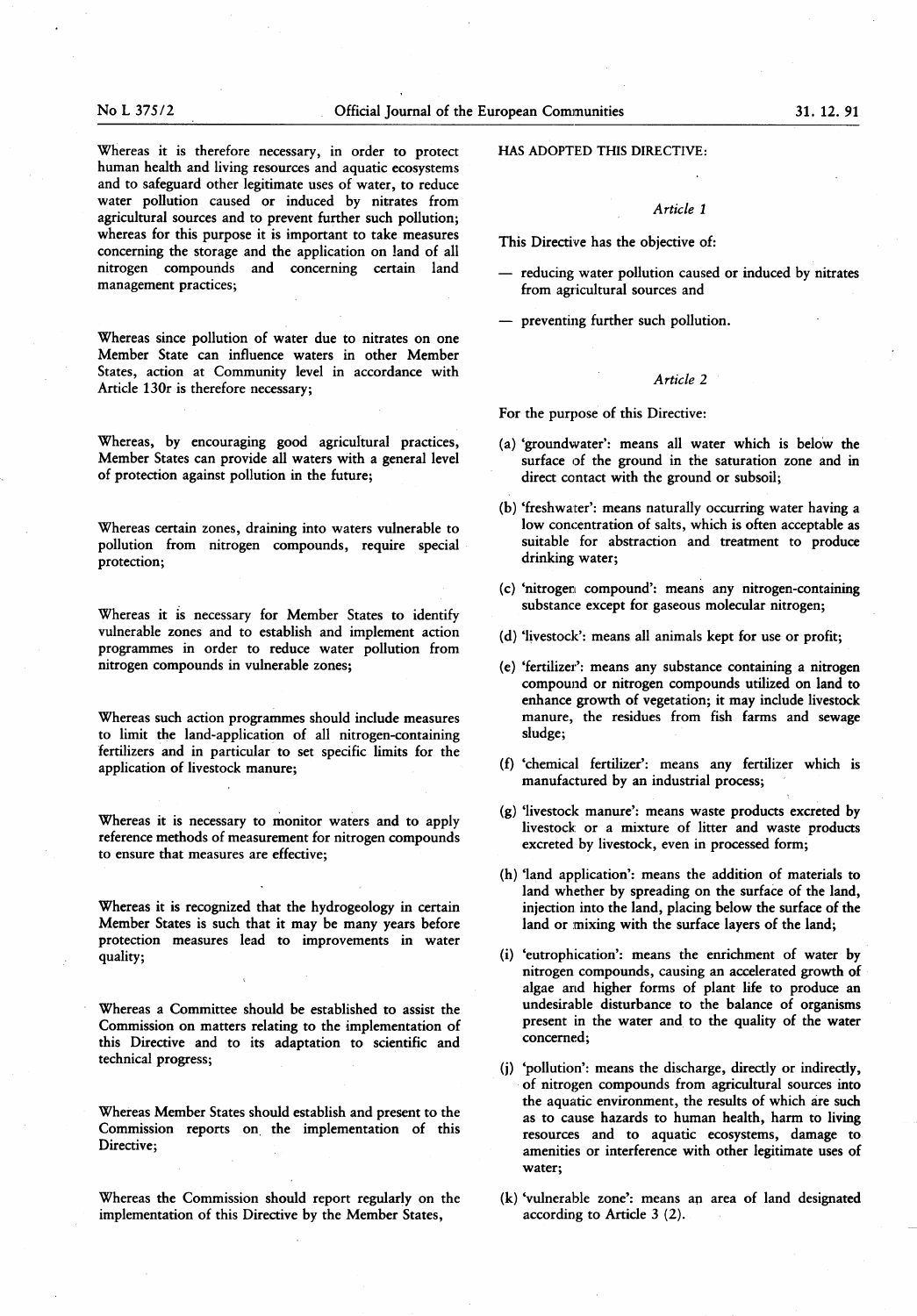Whereas it is therefore necessary, in order to protect HAS ADOPTED THIS DIRECTIVE: human health and living resources and aquatic ecosystems and to safeguard other legitimate uses of water, to reduce water pollution caused or induced by nitrates from agricultural sources and to prevent further such pollution; whereas for this purpose it is important to take measures concerning the storage and the application on land of all nitrogen compounds and concerning certain land management practices;

Whereas since pollution of water due to nitrates on one Member State can influence waters in other Member States, action at Community level in accordance with Article 130r is therefore necessary;

Whereas, by encouraging good agricultural practices, Member States can provide all waters with a general level of protection against pollution in the future;

Whereas certain zones, draining into waters vulnerable to pollution from nitrogen compounds, require special protection;

Whereas it is necessary for Member States to identify vulnerable zones and to establish and implement action programmes in order to reduce water pollution from nitrogen compounds in vulnerable zones;

Whereas such action programmes should include measures to limit the land-application of all nitrogen-containing fertilizers and in particular to set specific limits for the application of livestock manure;

Whereas it is necessary to monitor waters and to apply reference methods of measurement for nitrogen compounds to ensure that measures are effective;

Whereas it is recognized that the hydrogeology in certain Member States is such that it may be many years before protection measures lead to improvements in water quality;

Whereas a Committee should be established to assist the Commission on matters relating to the implementation of this Directive and to its adaptation to scientific and technical progress;

Whereas Member States should establish and present to the Commission reports on the implementation of this Directive;

Whereas the Commission should report regularly on the implementation of this Directive by the Member States,

#### Article <sup>1</sup>

This Directive has the objective of:

- reducing water pollution caused or induced by nitrates from agricultural sources and
- preventing further such pollution.

# Article 2

For the purpose of this Directive:

- ( a) 'groundwater': means all water which is below the surface of the ground in the saturation zone and in direct contact with the ground or subsoil;
- (b) 'freshwater': means naturally occurring water having a low concentration of salts, which is often acceptable as suitable for abstraction and treatment to produce drinking water;
- ( c) 'nitrogen compound': means any nitrogen-containing substance except for gaseous molecular nitrogen;
- (d) 'livestock': means all animals kept for use or profit;
- (e) 'fertilizer': means any substance containing a nitrogen compound or nitrogen compounds utilized on land to enhance growth of vegetation; it may include livestock manure, the residues from fish farms and sewage sludge;
- (f) 'chemical fertilizer': means any fertilizer which is manufactured by an industrial process;
- (g) 'livestock manure': means waste products excreted by livestock: or a mixture of litter and waste products excreted by livestock, even in processed form;
- (h) 'land application': means the addition of materials to land whether by spreading on the surface of the land, injection into the land, placing below the surface of the land or mixing with the surface layers of the land;
- (i) 'eutrophication': means the enrichment of water by nitrogen compounds, causing an accelerated growth of algae and higher forms of plant life to produce an undesirable disturbance to the balance of organisms present in the water and to the quality of the water concerned;
- (j) 'pollution': means the discharge, directly or indirectly, of nitrogen compounds from agricultural sources into the aquatic environment, the results of which are such as to cause hazards to human health, harm to living resources and to aquatic ecosystems, damage to amenities or interference with other legitimate uses of water;
- (k) 'vulnerable zone': means an area of land designated according to Article 3 (2).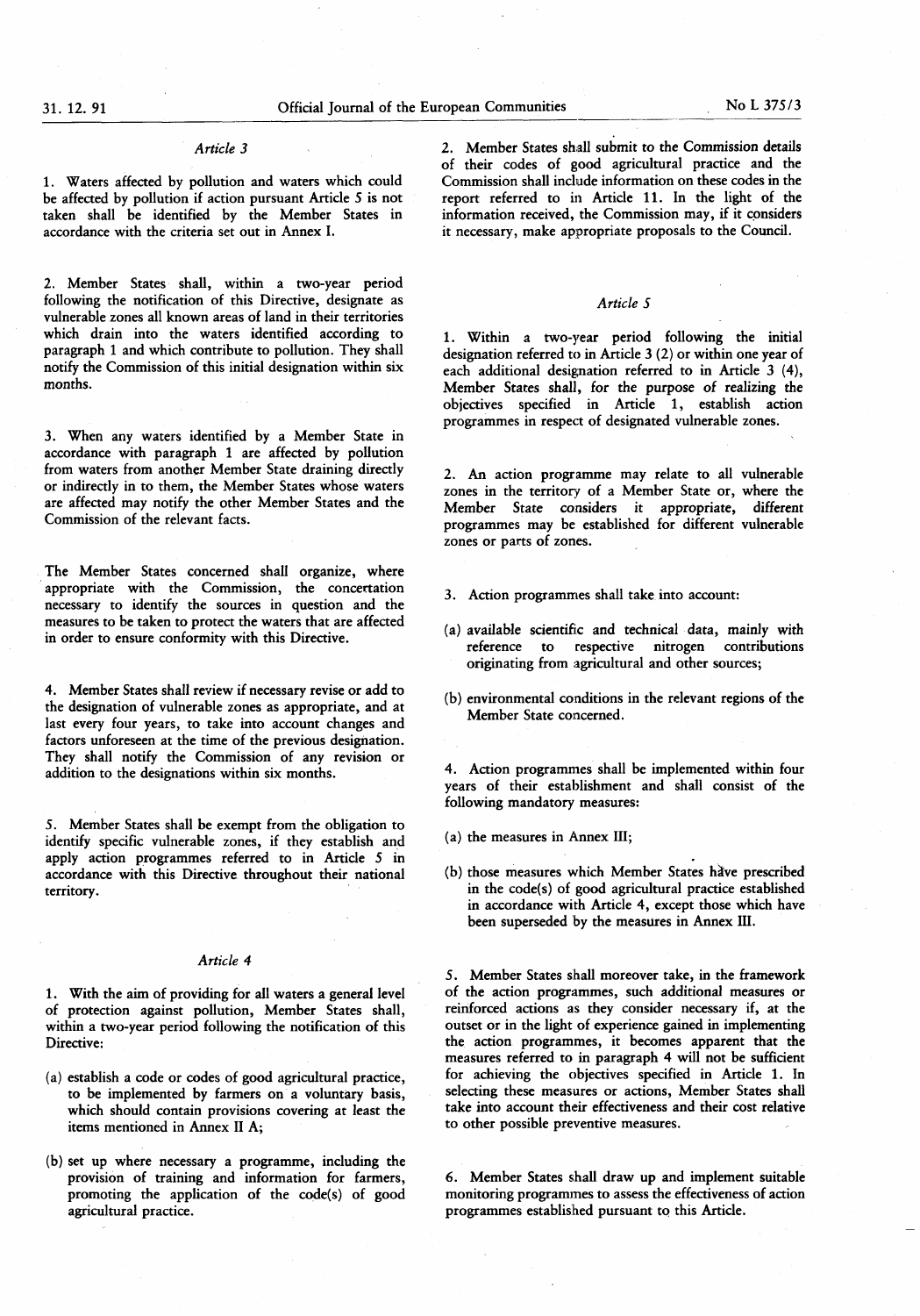## Article 3

1. Waters affected by pollution and waters which could be affected by pollution if action pursuant Article 5 is not taken shall be identified by the Member States in accordance with the criteria set out in Annex I.

2. Member States shall, within a two-year period following the notification of this Directive, designate as vulnerable zones all known areas of land in their territories which drain into the waters identified according to paragraph <sup>1</sup> and which contribute to pollution. They shall notify the Commission of this initial designation within six months.

3. When any waters identified by a Member State in accordance with paragraph <sup>1</sup> are affected by pollution from waters from another Member State draining directly or indirectly in to them, the Member States whose waters are affected may notify the other Member States and the Commission of the relevant facts.

The Member States concerned shall organize, where appropriate with the Commission, the concertation necessary to identify the sources in question and the measures to be taken to protect the waters that are affected in order to ensure conformity with this Directive.

4. Member States shall review if necessary revise or add to the designation of vulnerable zones as appropriate, and at last every four years, to take into account changes and factors unforeseen at the time of the previous designation. They shall notify the Commission of any revision or addition to the designations within six months.

5 . Member States shall be exempt from the obligation to identify specific vulnerable zones, if they establish and apply action programmes referred to in Article 5 in accordance with this Directive throughout their national territory.

#### Article 4

1. With the aim of providing for all waters a general level of protection against pollution, Member States shall, within a two-year period following the notification of this Directive:

- (a) establish a code or codes of good agricultural practice, to be implemented by farmers on a voluntary basis, which should contain provisions covering at least the items mentioned in Annex II A;
- (b) set up where necessary a programme, including the provision of training and information for farmers, promoting the application of the code(s) of good agricultural practice.

2. Member States shall submit to the Commission details of their codes of good agricultural practice and the Commission shall include information on these codes in the report referred to in Article 11 . In the light of the information received, the Commission may, if it considers it necessary, make appropriate proposals to the Council.

#### Article 5

<sup>1</sup> . Within a two-year period following the initial designation referred to in Article 3 (2) or within one year of each additional designation referred to in Article 3 (4), Member States shall, for the purpose of realizing the objectives specified in Article 1, establish action programmes in respect of designated vulnerable zones.

2. An action programme may relate to all vulnerable zones in the territory of a Member State or, where the Member State considers it appropriate, different programmes may be established for different vulnerable zones or parts of zones.

- 3. Action programmes shall take into account:
- (a) available scientific and technical data, mainly with reference to respective nitrogen contributions originating from agricultural and other sources;
- (b) environmental conditions in the relevant regions of the Member State concerned.

4. Action programmes shall be implemented within four years of their establishment and shall consist of the following mandatory measures:

(a) the measures in Annex III;

(b) those measures which Member States have prescribed in the code(s) of good agricultural practice established in accordance with Article 4, except those which have been superseded by the measures in Annex III.

5. Member States shall moreover take, in the framework of the action programmes, such additional measures or reinforced actions as they consider necessary if, at the outset or in the light of experience gained in implementing the action programmes, it becomes apparent that the measures referred to in paragraph 4 will not be sufficient for achieving the objectives specified in Article 1. In selecting these measures or actions, Member States shall take into account their effectiveness and their cost relative to other possible preventive measures.

6 . Member States shall draw up and implement suitable monitoring programmes to assess the effectiveness of action programmes established pursuant to this Article .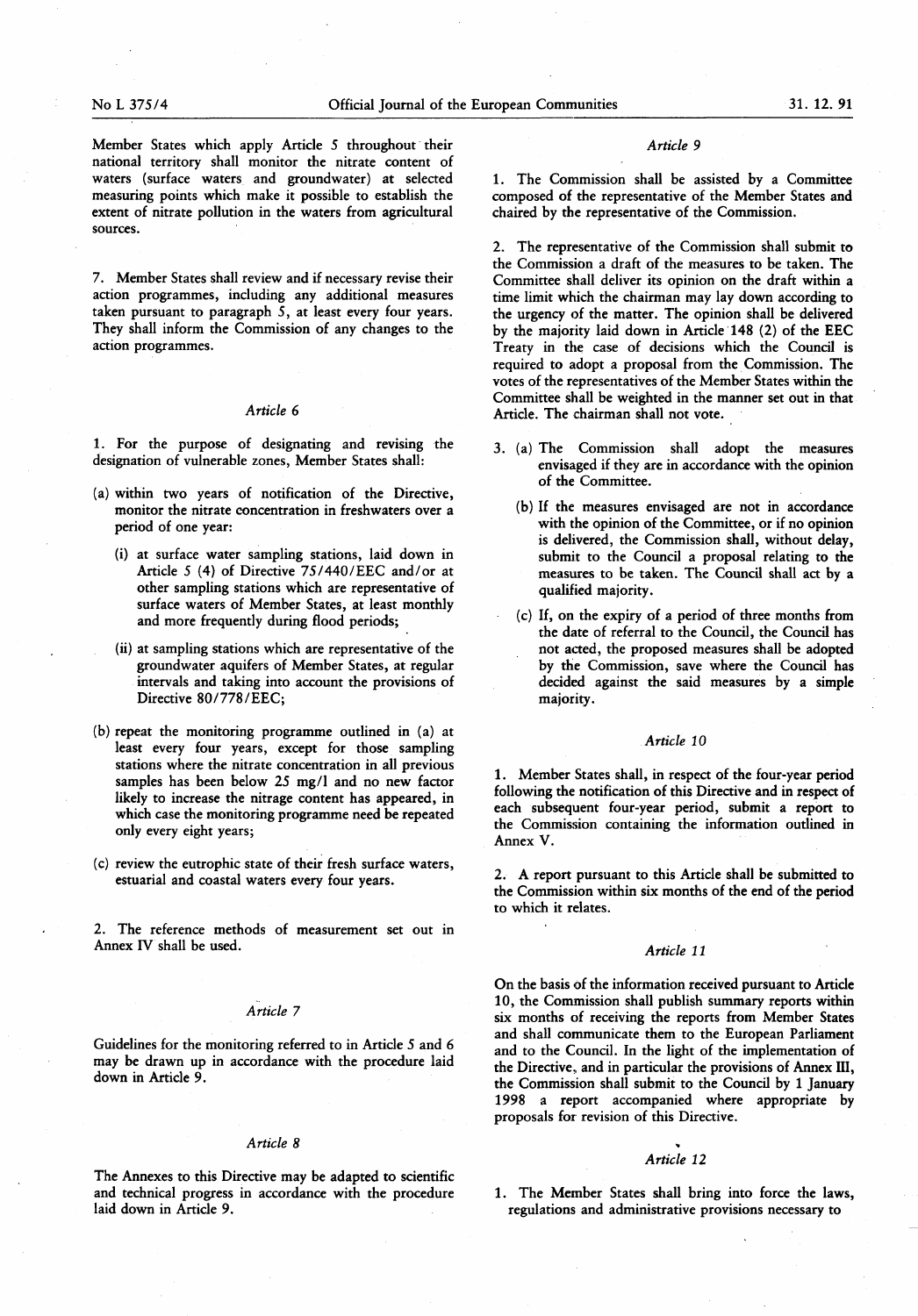Member States which apply Article 5 throughout their national territory shall monitor the nitrate content of waters (surface waters and groundwater) at selected measuring points which make it possible to establish the extent of nitrate pollution in the waters from agricultural sources.

7 . Member States shall review and if necessary revise their action programmes, including any additional measures taken pursuant to paragraph 5, at least every four years. They shall inform the Commission of any changes to the action programmes.

# Article 6

<sup>1</sup> . For the purpose of designating and revising the designation of vulnerable zones, Member States shall:

- (a) within two years of notification of the Directive, monitor the nitrate concentration in freshwaters over a period of one year:
	- (i) at surface water sampling stations, laid down in Article 5 (4) of Directive 75/440/EEC and/or at other sampling stations which are representative of surface waters of Member States, at least monthly and more frequently during flood periods;
	- (ii) at sampling stations which are representative of the groundwater aquifers of Member States, at regular intervals and taking into account the provisions of Directive 80/778/EEC;
- (b) repeat the monitoring programme outlined in  $(a)$  at least every four years, except for those sampling stations where the nitrate concentration in all previous samples has been below 25 mg/1 and no new factor likely to increase the nitrage content has appeared, in which case the monitoring programme need be repeated only every eight years;
- (c) review the eutrophic state of their fresh surface waters, estuarial and coastal waters every four years.

2. The reference methods of measurement set out in Annex IV shall be used.

# Article 7

Guidelines for the monitoring referred to in Article 5 and 6 may be drawn up in accordance with the procedure laid down in Article 9.

#### Article 8

The Annexes to this Directive may be adapted to scientific and technical progress in accordance with the procedure laid down in Article 9.

#### Article 9

1. The Commission shall be assisted by a Committee composed of the representative of the Member States and chaired by the representative of the Commission.

2. The representative of the Commission shall submit to the Commission a draft of the measures to be taken. The Committee shall deliver its opinion on the draft within a time limit which the chairman may lay down according to the urgency of the matter. The opinion shall be delivered by the majority laid down in Article 148 (2) of the EEC Treaty in the case of decisions which the Council is required to adopt a proposal from the Commission. The votes of the representatives of the Member States within the Committee shall be weighted in the manner set out in that Article. The chairman shall not vote.

- 3. (a) The Commission shall adopt the measures envisaged if they are in accordance with the opinion of the Committee.
	- (b) If the measures envisaged are not in accordance with the opinion of the Committee, or if no opinion is delivered, the Commission shall, without delay, submit to the Council a proposal relating to the measures to be taken. The Council shall act by a qualified majority.
	- ( c) If, on the expiry of a period of three months from the date of referral to the Council, the Council has not acted, the proposed measures shall be adopted by the Commission, save where the Council has decided against the said measures by a simple majority.

#### Article 10

1. Member States shall, in respect of the four-year period following the notification of this Directive and in respect of each subsequent four-year period, submit a report to the Commission containing the information outlined in Annex V.

2. A report pursuant to this Article shall be submitted to the Commission within six months of the end of the period to which it relates.

#### Article 11

On the basis of the information received pursuant to Article 10, the Commission shall publish summary reports within six months of receiving the reports from Member States and shall communicate them to the European Parliament and to the Council. In the light of the implementation of the Directive, and in particular the provisions of Annex III, the Commission shall submit to the Council by <sup>1</sup> January 1998 a report accompanied where appropriate by proposals for revision of this Directive.

# Article 12

1. The Member States shall bring into force the laws, regulations and administrative provisions necessary to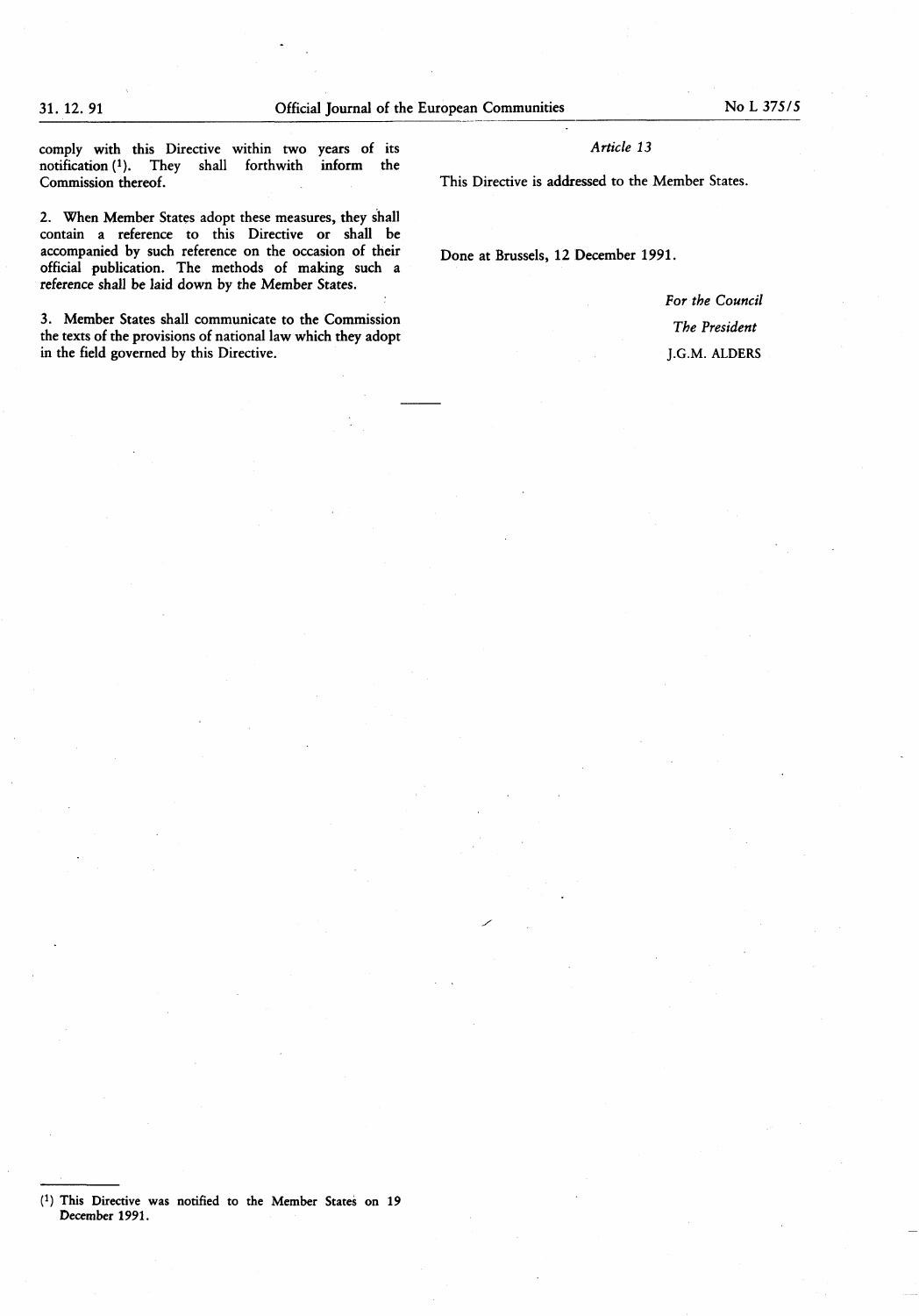comply with this Directive within two years of its notification (1). They shall forthwith inform the Commission thereof.

2. When Member States adopt these measures, they shall contain a reference to this Directive or shall be accompanied by such reference on the occasion of their official publication. The methods of making such a reference shall be laid down by the Member States.

3. Member States shall communicate to the Commission the texts of the provisions of national law which they adopt in the field governed by this Directive.

Article 13

This Directive is addressed to the Member States.

Done at Brussels, 12 December 1991.

For the Council The President J.G.M. ALDERS

<sup>(1)</sup> This Directive was notified to the Member States on 19 December 1991.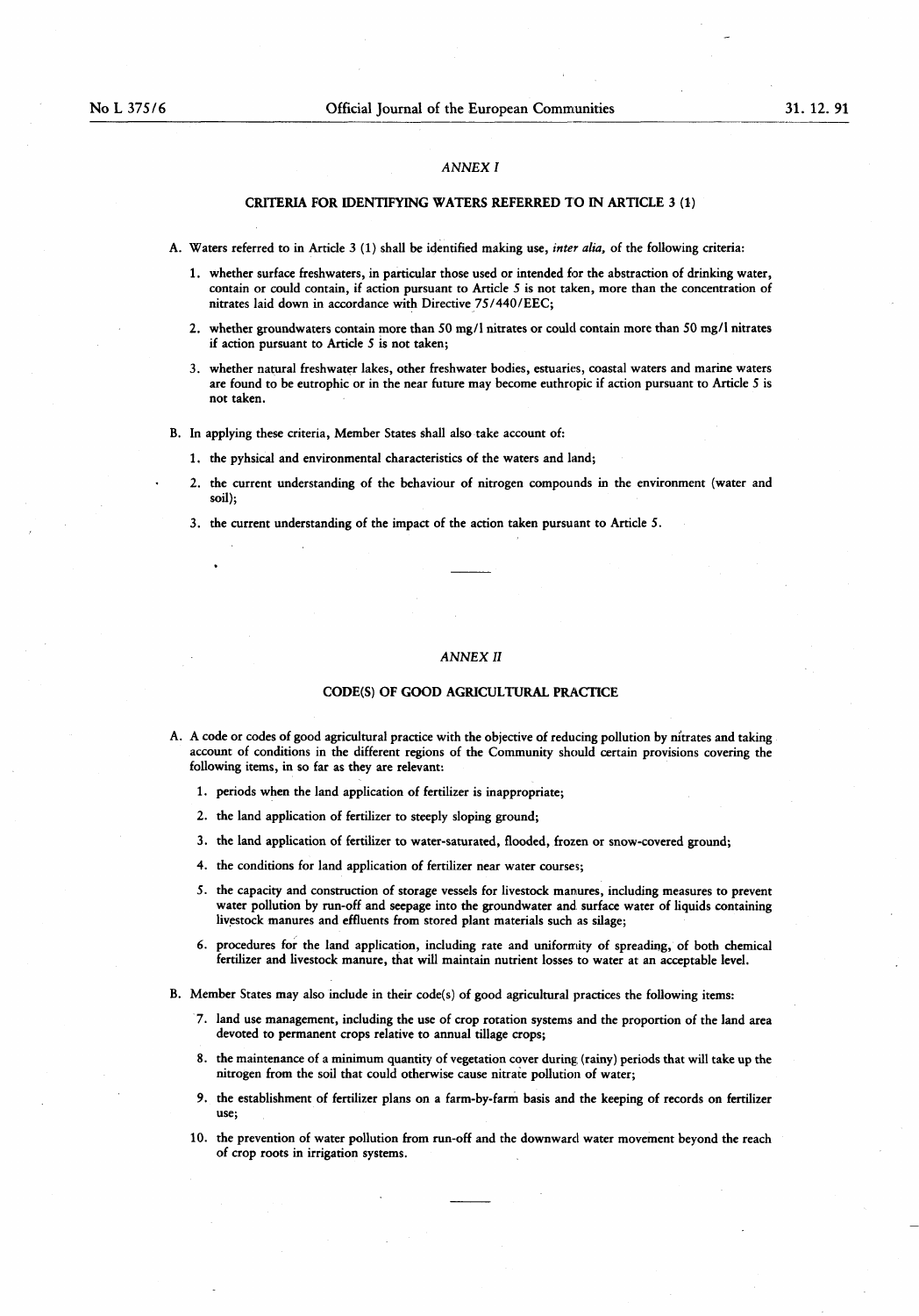#### ANNEX I

#### CRITERIA FOR IDENTIFYING WATERS REFERRED TO IN ARTICLE 3 (1)

- A. Waters referred to in Article 3 (1) shall be identified making use, inter alia, of the following criteria:
	- <sup>1</sup> . whether surface freshwaters, in particular those used or intended for the abstraction of drinking water, contain or could contain, if action pursuant to Article 5 is not taken, more than the concentration of nitrates laid down in accordance with Directive 75 /440/EEC;
	- 2. whether groundwaters contain more than 50 mg/l nitrates or could contain more than 50 mg/l nitrates if action pursuant to Article 5 is not taken;
	- 3 . whether natural freshwater lakes, other freshwater bodies, estuaries, coastal waters and marine waters are found to be eutrophic or in the near future may become euthropic if action pursuant to Article 5 is not taken.
- B. In applying these criteria, Member States shall also take account of:
	- 1. the pyhsical and environmental characteristics of the waters and land;
	- 2. the current understanding of the behaviour of nitrogen compounds in the environment (water and soil);
	- 3 . the current understanding of the impact of the action taken pursuant to Article 5 .

#### ANNEX II

#### CODE(S) OF GOOD AGRICULTURAL PRACTICE

- A. A code or codes of good agricultural practice with the objective of reducing pollution by nitrates and taking account of conditions in the different regions of the Community should certain provisions covering the following items, in so far as they are relevant:
	- 1. periods when the land application of fertilizer is inappropriate;
	- 2. the land application of fertilizer to steeply sloping ground;
	- 3 . the land application of fertilizer to water-saturated, flooded, frozen or snow-covered ground;
	- 4. the conditions for land application of fertilizer near water courses;
	- 5 . the capacity and construction of storage vessels for livestock manures, including measures to prevent water pollution by run-off and seepage into the groundwater and surface water of liquids containing livestock manures and effluents from stored plant materials such as silage;
	- 6. procedures for the land application, including rate and uniformity of spreading, of both chemical fertilizer and livestock manure , that will maintain nutrient losses to water at an acceptable level.

B. Member States may also include in their code(s) of good agricultural practices the following items:

- 7. land use management, including the use of crop rotation systems and the proportion of the land area devoted to permanent crops relative to annual tillage crops;
- 8. the maintenance of a minimum quantity of vegetation cover during (rainy) periods that will take up the nitrogen from the soil that could otherwise cause nitrate pollution of water;
- 9. the establishment of fertilizer plans on a farm-by-farm basis and the keeping of records on fertilizer use;
- 10. the prevention of water pollution from run-off and the downward water movement beyond the reach of crop roots in irrigation systems.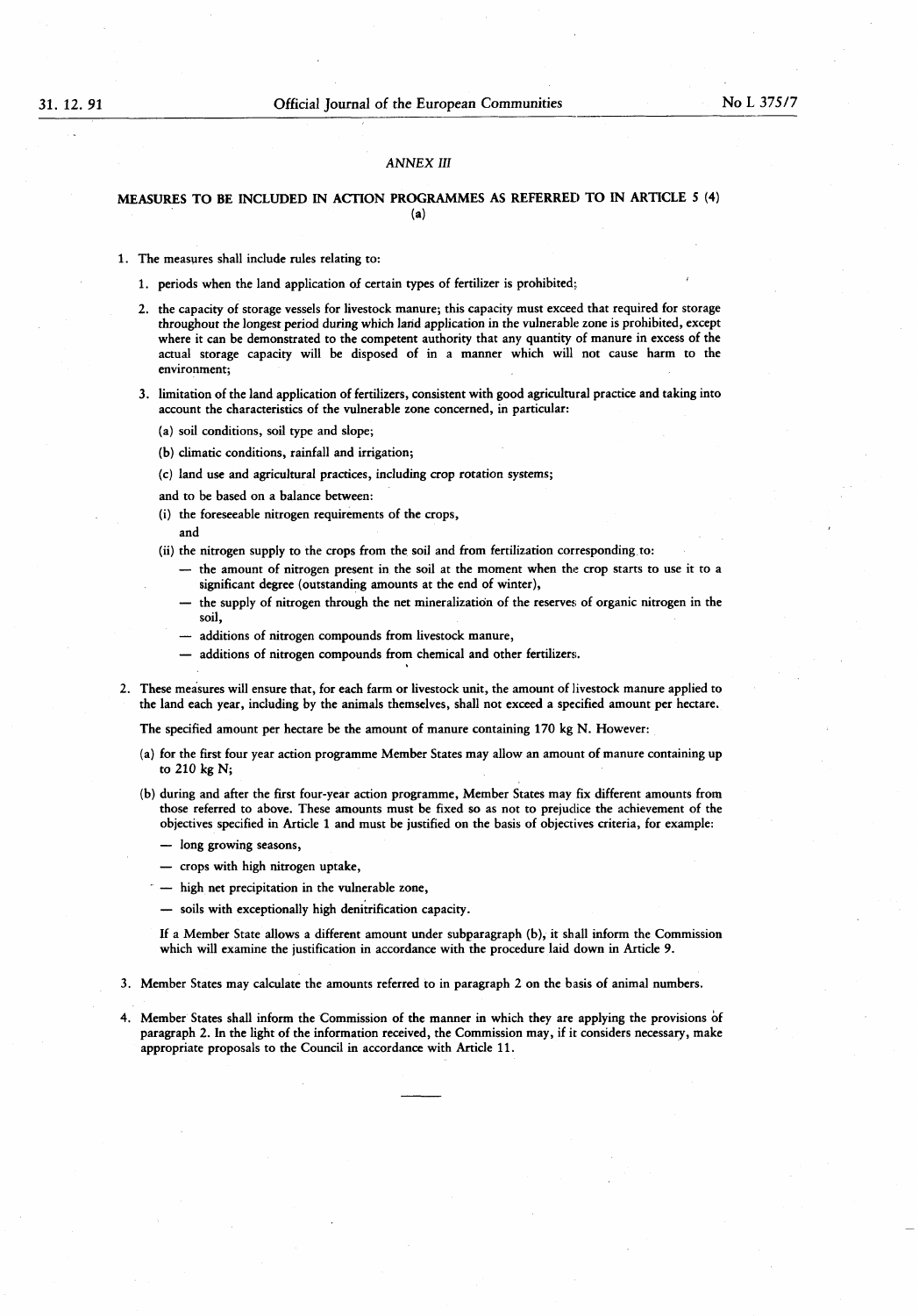#### ANNEX III

# MEASURES TO BE INCLUDED IN ACTION PROGRAMMES AS REFERRED TO IN ARTICLE 5 (4) (a)

- 1. The measures shall include rules relating to:
	- 1. periods when the land application of certain types of fertilizer is prohibited;
	- 2. the capacity of storage vessels for livestock manure; this capacity must exceed that required for storage throughout the longest period during which land application in the vulnerable zone is prohibited, except where it can be demonstrated to the competent authority that any quantity of manure in excess of the actual storage capacity will be disposed of in a manner which will not cause harm to the environment;
	- 3 . limitation of the land application of fertilizers, consistent with good agricultural practice and taking into account the characteristics of the vulnerable zone concerned, in particular:
		- (a) soil conditions, soil type and slope;
		- (b) climatic conditions, rainfall and irrigation;
		- (c) land use and agricultural practices, including crop rotation systems;
		- and to be based on a balance between:
		- (i) the foreseeable nitrogen requirements of the crops, and
		- (ii) the nitrogen supply to the crops from the soil and from fertilization corresponding to:
			- the amount of nitrogen present in the soil at the moment when the crop starts to use it to a significant degree (outstanding amounts at the end of winter),
			- the supply of nitrogen through the net mineralization of the reserves; of organic nitrogen in the soil,
			- additions of nitrogen compounds from livestock manure,
			- additions of nitrogen compounds from chemical and other fertilizers.
- 2. These measures will ensure that, for each farm or livestock unit, the amount of livestock manure applied to the land each year, including by the animals themselves, shall not exceed a specified amount per hectare.

The specified amount per hectare be the amount of manure containing 170 kg N. However:

- (a) for the first four year action programme Member States may allow an amount of manure containing up to 210 kg N;
- (b) during and after the first four-year action programme , Member States may fix different amounts from those referred to above. These amounts must be fixed so as not to prejudice the achievement of the objectives specified in Article <sup>1</sup> and must be justified on the basis of objectives criteria , for example:
	- long growing seasons,
	- crops with high nitrogen uptake,
	- high net precipitation in the vulnerable zone,
	- soils with exceptionally high denitrification capacity.

If a Member State allows a different amount under subparagraph (b), it shall inform the Commission which will examine the justification in accordance with the procedure laid down in Article 9.

- 3 . Member States may calculate the amounts referred to in paragraph 2 on the basis of animal numbers.
- 4. Member States shall inform the Commission of the manner in which they are applying the provisions of paragraph 2. In the light of the information received, the Commission may, if it considers necessary, make appropriate proposals to the Council in accordance with Article 11.